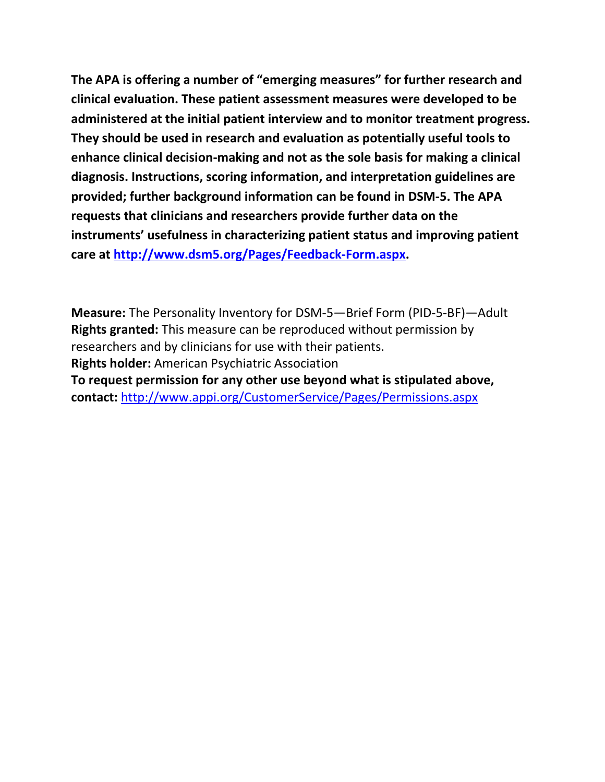**The APA is offering a number of "emerging measures" for further research and clinical evaluation. These patient assessment measures were developed to be administered at the initial patient interview and to monitor treatment progress. They should be used in research and evaluation as potentially useful tools to enhance clinical decision-making and not as the sole basis for making a clinical diagnosis. Instructions, scoring information, and interpretation guidelines are provided; further background information can be found in DSM-5. The APA requests that clinicians and researchers provide further data on the instruments' usefulness in characterizing patient status and improving patient care at [http://www.dsm5.org/Pages/Feedback-Form.aspx.](http://www.dsm5.org/Pages/Feedback-Form.aspx)**

**Measure:** The Personality Inventory for DSM-5—Brief Form (PID-5-BF)—Adult **Rights granted:** This measure can be reproduced without permission by researchers and by clinicians for use with their patients. **Rights holder:** American Psychiatric Association **To request permission for any other use beyond what is stipulated above, contact:** <http://www.appi.org/CustomerService/Pages/Permissions.aspx>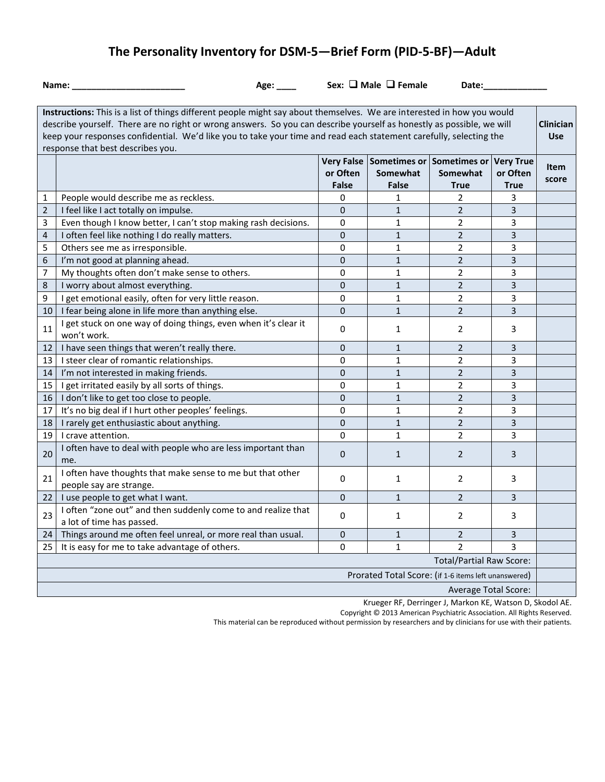# **The Personality Inventory for DSM-5—Brief Form (PID-5-BF)—Adult**

**Name: \_\_\_\_\_\_\_\_\_\_\_\_\_\_\_\_\_\_\_\_\_\_\_ Age: \_\_\_\_ Sex: Male Female Date:\_\_\_\_\_\_\_\_\_\_\_\_\_**

|                                                      | Instructions: This is a list of things different people might say about themselves. We are interested in how you would |              |                                      |                |                  |                  |  |  |  |
|------------------------------------------------------|------------------------------------------------------------------------------------------------------------------------|--------------|--------------------------------------|----------------|------------------|------------------|--|--|--|
|                                                      | describe yourself. There are no right or wrong answers. So you can describe yourself as honestly as possible, we will  |              |                                      |                |                  | <b>Clinician</b> |  |  |  |
|                                                      | keep your responses confidential. We'd like you to take your time and read each statement carefully, selecting the     |              |                                      |                |                  | <b>Use</b>       |  |  |  |
|                                                      | response that best describes you.                                                                                      |              |                                      |                |                  |                  |  |  |  |
|                                                      |                                                                                                                        |              | Very False Sometimes or Sometimes or |                | <b>Very True</b> | <b>Item</b>      |  |  |  |
|                                                      |                                                                                                                        | or Often     | Somewhat                             | Somewhat       | or Often         | score            |  |  |  |
|                                                      |                                                                                                                        | <b>False</b> | False                                | <b>True</b>    | <b>True</b>      |                  |  |  |  |
| $\mathbf{1}$                                         | People would describe me as reckless.                                                                                  | 0            | $\mathbf{1}$                         | $\overline{2}$ | 3                |                  |  |  |  |
| $\overline{2}$                                       | I feel like I act totally on impulse.                                                                                  | $\mathbf{0}$ | $\mathbf{1}$                         | $\overline{2}$ | 3                |                  |  |  |  |
| 3                                                    | Even though I know better, I can't stop making rash decisions.                                                         | $\mathbf 0$  | $\mathbf{1}$                         | $\overline{2}$ | 3                |                  |  |  |  |
| 4                                                    | I often feel like nothing I do really matters.                                                                         | $\mathbf{0}$ | $\mathbf{1}$                         | $\overline{2}$ | 3                |                  |  |  |  |
| 5                                                    | Others see me as irresponsible.                                                                                        | $\Omega$     | $\mathbf{1}$                         | $\overline{2}$ | 3                |                  |  |  |  |
| 6                                                    | I'm not good at planning ahead.                                                                                        | $\mathbf{0}$ | $\mathbf{1}$                         | $\overline{2}$ | 3                |                  |  |  |  |
| 7                                                    | My thoughts often don't make sense to others.                                                                          | $\mathbf 0$  | 1                                    | $\overline{2}$ | 3                |                  |  |  |  |
| 8                                                    | I worry about almost everything.                                                                                       | $\mathbf 0$  | $\mathbf{1}$                         | $\overline{2}$ | 3                |                  |  |  |  |
| 9                                                    | I get emotional easily, often for very little reason.                                                                  | 0            | 1                                    | $\overline{2}$ | 3                |                  |  |  |  |
| 10                                                   | I fear being alone in life more than anything else.                                                                    | $\mathbf{0}$ | $\mathbf{1}$                         | $\overline{2}$ | 3                |                  |  |  |  |
| 11                                                   | I get stuck on one way of doing things, even when it's clear it                                                        | $\mathbf 0$  | 1                                    | $\overline{2}$ | 3                |                  |  |  |  |
|                                                      | won't work.                                                                                                            |              |                                      |                |                  |                  |  |  |  |
| 12 <sub>1</sub>                                      | I have seen things that weren't really there.                                                                          | $\mathbf{0}$ | 1                                    | $\overline{2}$ | 3                |                  |  |  |  |
| 13 <sup>1</sup>                                      | I steer clear of romantic relationships.                                                                               | 0            | $\mathbf{1}$                         | $\overline{2}$ | 3                |                  |  |  |  |
| 14 <sup>1</sup>                                      | I'm not interested in making friends.                                                                                  | $\pmb{0}$    | $\mathbf{1}$                         | $\overline{2}$ | 3                |                  |  |  |  |
| 15                                                   | I get irritated easily by all sorts of things.                                                                         | $\mathbf 0$  | $\mathbf{1}$                         | $\overline{2}$ | 3                |                  |  |  |  |
| 16                                                   | I don't like to get too close to people.                                                                               |              | $\mathbf{1}$                         | $\overline{2}$ | 3                |                  |  |  |  |
| 17                                                   | It's no big deal if I hurt other peoples' feelings.                                                                    | $\Omega$     | $\mathbf{1}$                         | $\overline{2}$ | 3                |                  |  |  |  |
| 18                                                   | I rarely get enthusiastic about anything.                                                                              | $\mathbf{0}$ | $\mathbf{1}$                         | $\overline{2}$ | 3                |                  |  |  |  |
| 19 <sup>1</sup>                                      | I crave attention.                                                                                                     | $\Omega$     | $\mathbf{1}$                         | $\overline{2}$ | 3                |                  |  |  |  |
| 20                                                   | I often have to deal with people who are less important than                                                           |              |                                      |                |                  |                  |  |  |  |
|                                                      | me.                                                                                                                    | $\mathbf{0}$ | $\mathbf{1}$                         | $\overline{2}$ | 3                |                  |  |  |  |
|                                                      | I often have thoughts that make sense to me but that other                                                             |              |                                      |                |                  |                  |  |  |  |
| 21                                                   | people say are strange.                                                                                                | 0            | 1                                    | $\overline{2}$ | 3                |                  |  |  |  |
| 22 I                                                 | I use people to get what I want.                                                                                       | $\Omega$     | $\mathbf{1}$                         | $\overline{2}$ | 3                |                  |  |  |  |
|                                                      | I often "zone out" and then suddenly come to and realize that                                                          |              |                                      |                |                  |                  |  |  |  |
| 23                                                   | a lot of time has passed.                                                                                              | 0            | 1                                    | $\overline{2}$ | 3                |                  |  |  |  |
| 24 I                                                 | Things around me often feel unreal, or more real than usual.                                                           | $\pmb{0}$    | $\mathbf{1}$                         | $\overline{2}$ | 3                |                  |  |  |  |
| 25                                                   | It is easy for me to take advantage of others.                                                                         | 0            | $\mathbf{1}$                         | $\mathfrak{D}$ | 3                |                  |  |  |  |
| <b>Total/Partial Raw Score:</b>                      |                                                                                                                        |              |                                      |                |                  |                  |  |  |  |
| Prorated Total Score: (if 1-6 items left unanswered) |                                                                                                                        |              |                                      |                |                  |                  |  |  |  |
| <b>Average Total Score:</b>                          |                                                                                                                        |              |                                      |                |                  |                  |  |  |  |
|                                                      |                                                                                                                        |              |                                      |                |                  |                  |  |  |  |

Krueger RF, Derringer J, Markon KE, Watson D, Skodol AE.

Copyright © 2013 American Psychiatric Association. All Rights Reserved.

This material can be reproduced without permission by researchers and by clinicians for use with their patients.